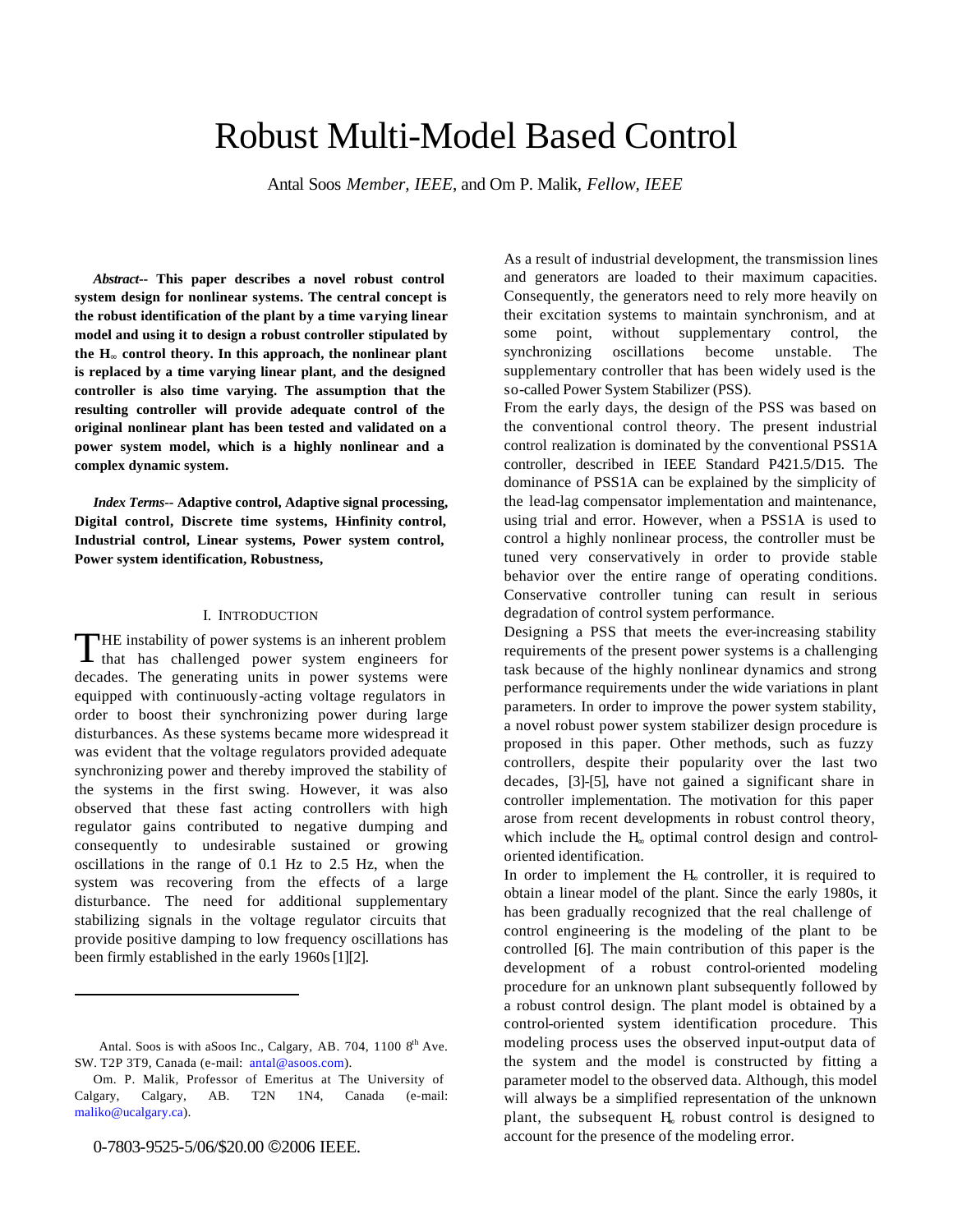# Robust Multi-Model Based Control

Antal Soos *Member, IEEE*, and Om P. Malik, *Fellow, IEEE*

*Abstract***-- This paper describes a novel robust control system design for nonlinear systems. The central concept is the robust identification of the plant by a time varying linear model and using it to design a robust controller stipulated by the H¥ control theory. In this approach, the nonlinear plant is replaced by a time varying linear plant, and the designed controller is also time varying. The assumption that the resulting controller will provide adequate control of the original nonlinear plant has been tested and validated on a power system model, which is a highly nonlinear and a complex dynamic system.**

*Index Terms***-- Adaptive control, Adaptive signal processing,**  Digital control, Discrete time systems, Hinfinity control, **Industrial control, Linear systems, Power system control, Power system identification, Robustness,** 

## I. INTRODUCTION

HE instability of power systems is an inherent problem THE instability of power systems is an inherent problem<br>that has challenged power system engineers for decades. The generating units in power systems were equipped with continuously-acting voltage regulators in order to boost their synchronizing power during large disturbances. As these systems became more widespread it was evident that the voltage regulators provided adequate synchronizing power and thereby improved the stability of the systems in the first swing. However, it was also observed that these fast acting controllers with high regulator gains contributed to negative dumping and consequently to undesirable sustained or growing oscillations in the range of 0.1 Hz to 2.5 Hz, when the system was recovering from the effects of a large disturbance. The need for additional supplementary stabilizing signals in the voltage regulator circuits that provide positive damping to low frequency oscillations has been firmly established in the early 1960s [1][2].

l

As a result of industrial development, the transmission lines and generators are loaded to their maximum capacities. Consequently, the generators need to rely more heavily on their excitation systems to maintain synchronism, and at some point, without supplementary control, the synchronizing oscillations become unstable. The supplementary controller that has been widely used is the so-called Power System Stabilizer (PSS).

From the early days, the design of the PSS was based on the conventional control theory. The present industrial control realization is dominated by the conventional PSS1A controller, described in IEEE Standard P421.5/D15. The dominance of PSS1A can be explained by the simplicity of the lead-lag compensator implementation and maintenance, using trial and error. However, when a PSS1A is used to control a highly nonlinear process, the controller must be tuned very conservatively in order to provide stable behavior over the entire range of operating conditions. Conservative controller tuning can result in serious degradation of control system performance.

Designing a PSS that meets the ever-increasing stability requirements of the present power systems is a challenging task because of the highly nonlinear dynamics and strong performance requirements under the wide variations in plant parameters. In order to improve the power system stability, a novel robust power system stabilizer design procedure is proposed in this paper. Other methods, such as fuzzy controllers, despite their popularity over the last two decades, [3]-[5], have not gained a significant share in controller implementation. The motivation for this paper arose from recent developments in robust control theory, which include the H∞ optimal control design and controloriented identification.

In order to implement the H<sub>∞</sub> controller, it is required to obtain a linear model of the plant. Since the early 1980s, it has been gradually recognized that the real challenge of control engineering is the modeling of the plant to be controlled [6]. The main contribution of this paper is the development of a robust control-oriented modeling procedure for an unknown plant subsequently followed by a robust control design. The plant model is obtained by a control-oriented system identification procedure. This modeling process uses the observed input-output data of the system and the model is constructed by fitting a parameter model to the observed data. Although, this model will always be a simplified representation of the unknown plant, the subsequent H<sup>∞</sup> robust control is designed to account for the presence of the modeling error.

Antal. Soos is with aSoos Inc., Calgary, AB. 704, 1100 8<sup>th</sup> Ave. SW. T2P 3T9, Canada (e-mail: antal@asoos.com).

Om. P. Malik, Professor of Emeritus at The University of Calgary, Calgary, AB. T2N 1N4, Canada (e-mail: maliko@ucalgary.ca).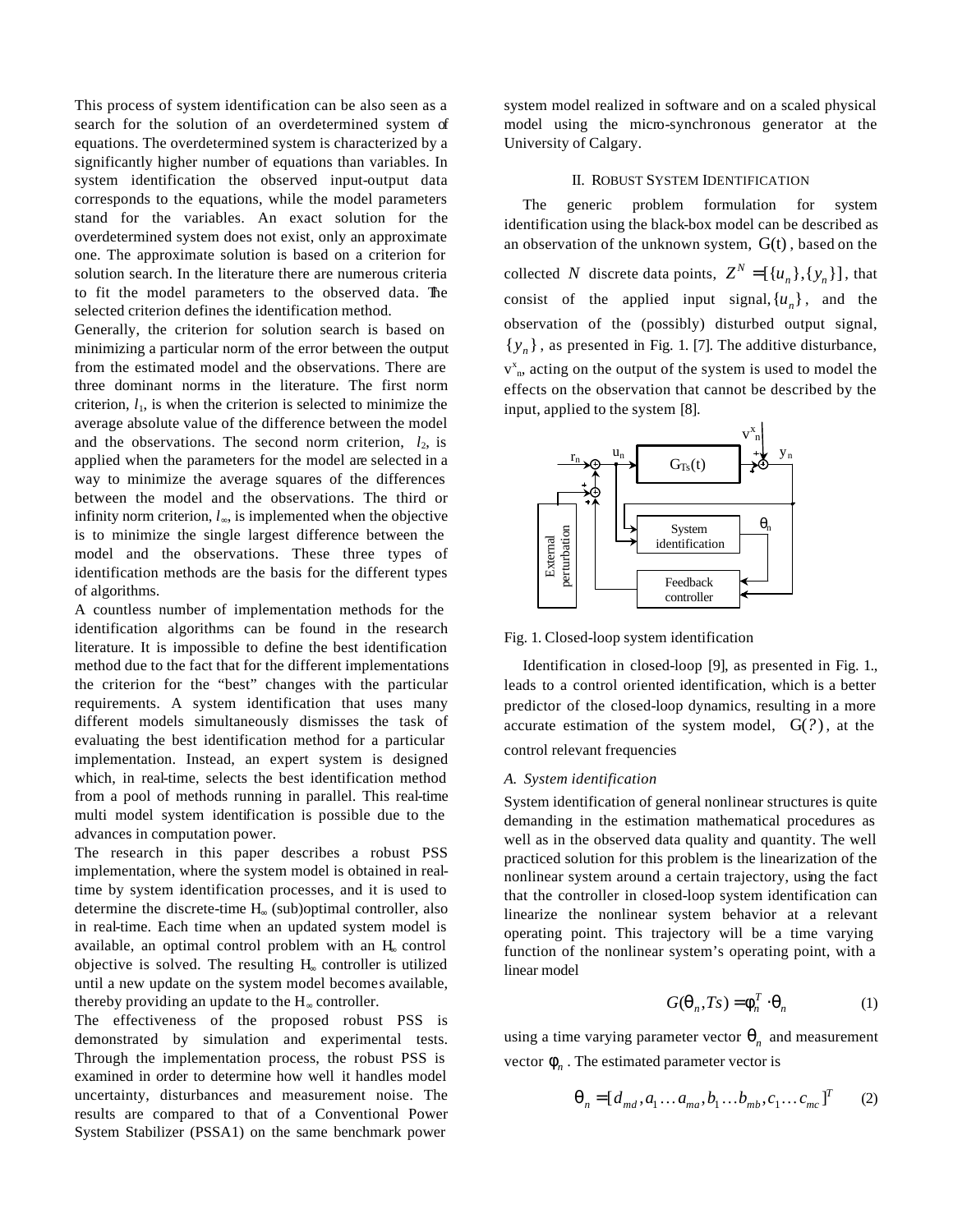This process of system identification can be also seen as a search for the solution of an overdetermined system of equations. The overdetermined system is characterized by a significantly higher number of equations than variables. In system identification the observed input-output data corresponds to the equations, while the model parameters stand for the variables. An exact solution for the overdetermined system does not exist, only an approximate one. The approximate solution is based on a criterion for solution search. In the literature there are numerous criteria to fit the model parameters to the observed data. The selected criterion defines the identification method.

Generally, the criterion for solution search is based on minimizing a particular norm of the error between the output from the estimated model and the observations. There are three dominant norms in the literature. The first norm criterion,  $l_1$ , is when the criterion is selected to minimize the average absolute value of the difference between the model and the observations. The second norm criterion,  $l_2$ , is applied when the parameters for the model are selected in a way to minimize the average squares of the differences between the model and the observations. The third or infinity norm criterion, *l*∞, is implemented when the objective is to minimize the single largest difference between the model and the observations. These three types of identification methods are the basis for the different types of algorithms.

A countless number of implementation methods for the identification algorithms can be found in the research literature. It is impossible to define the best identification method due to the fact that for the different implementations the criterion for the "best" changes with the particular requirements. A system identification that uses many different models simultaneously dismisses the task of evaluating the best identification method for a particular implementation. Instead, an expert system is designed which, in real-time, selects the best identification method from a pool of methods running in parallel. This real-time multi model system identification is possible due to the advances in computation power.

The research in this paper describes a robust PSS implementation, where the system model is obtained in realtime by system identification processes, and it is used to determine the discrete-time H∞ (sub)optimal controller, also in real-time. Each time when an updated system model is available, an optimal control problem with an H∞ control objective is solved. The resulting H∞ controller is utilized until a new update on the system model becomes available, thereby providing an update to the  $H_{\infty}$  controller.

The effectiveness of the proposed robust PSS is demonstrated by simulation and experimental tests. Through the implementation process, the robust PSS is examined in order to determine how well it handles model uncertainty, disturbances and measurement noise. The results are compared to that of a Conventional Power System Stabilizer (PSSA1) on the same benchmark power

system model realized in software and on a scaled physical model using the micro-synchronous generator at the University of Calgary.

## II. ROBUST SYSTEM IDENTIFICATION

The generic problem formulation for system identification using the black-box model can be described as an observation of the unknown system,  $G(t)$ , based on the collected *N* discrete data points,  $Z^N = [\{u_n\}, \{y_n\}]$ , that consist of the applied input signal,  $\{u_n\}$ , and the observation of the (possibly) disturbed output signal,  $\{y_n\}$  , as presented in Fig. 1. [7]. The additive disturbance,  $v_{n}^{x}$ , acting on the output of the system is used to model the effects on the observation that cannot be described by the input, applied to the system [8].



Fig. 1. Closed-loop system identification

Identification in closed-loop [9], as presented in Fig. 1., leads to a control oriented identification, which is a better predictor of the closed-loop dynamics, resulting in a more accurate estimation of the system model, G(*?*), at the control relevant frequencies

## *A. System identification*

System identification of general nonlinear structures is quite demanding in the estimation mathematical procedures as well as in the observed data quality and quantity. The well practiced solution for this problem is the linearization of the nonlinear system around a certain trajectory, using the fact that the controller in closed-loop system identification can linearize the nonlinear system behavior at a relevant operating point. This trajectory will be a time varying function of the nonlinear system's operating point, with a linear model

$$
G(\boldsymbol{q}_n, T_s) = \boldsymbol{f}_n^T \cdot \boldsymbol{q}_n \tag{1}
$$

using a time varying parameter vector  $q_n$  and measurement vector  $f_{n}$  . The estimated parameter vector is

$$
\boldsymbol{q}_n = [d_{md}, a_1 \dots a_{ma}, b_1 \dots b_{mb}, c_1 \dots c_{mc}]^T \qquad (2)
$$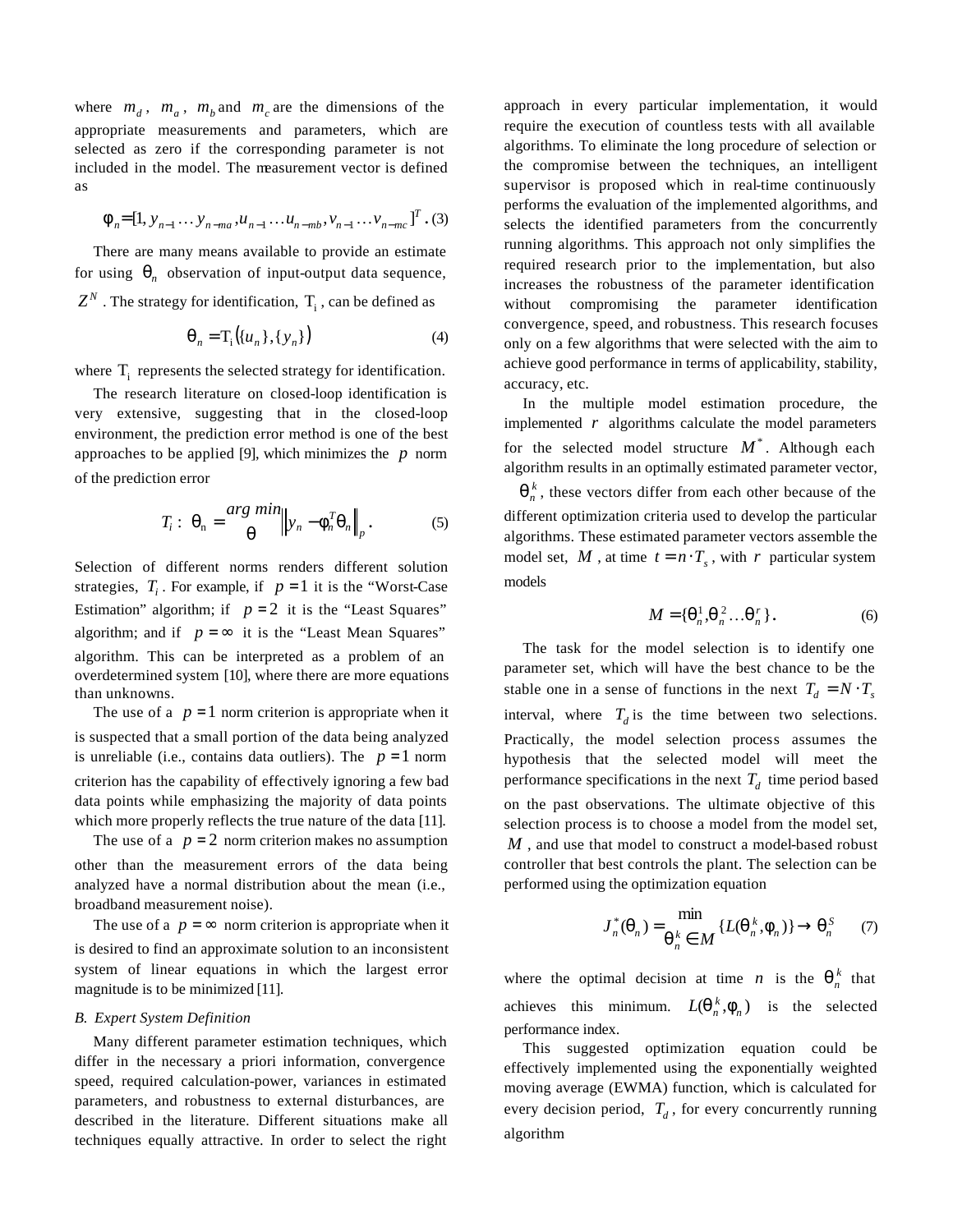where  $m_d$ ,  $m_a$ ,  $m_b$  and  $m_c$  are the dimensions of the appropriate measurements and parameters, which are selected as zero if the corresponding parameter is not included in the model. The measurement vector is defined as

$$
\boldsymbol{f}_n = [1, y_{n-1} \dots y_{n-ma}, u_{n-1} \dots u_{n-mb}, v_{n-1} \dots v_{n-mc}]^T \tag{3}
$$

There are many means available to provide an estimate for using  $q_n$  observation of input-output data sequence,  $Z^N$  . The strategy for identification,  $T_i$  , can be defined as

$$
\boldsymbol{q}_n = \mathbf{T}_i \big( \{ u_n \}, \{ y_n \} \big) \tag{4}
$$

where  $T_i$  represents the selected strategy for identification.

The research literature on closed-loop identification is very extensive, suggesting that in the closed-loop environment, the prediction error method is one of the best approaches to be applied [9], which minimizes the *p* norm of the prediction error

$$
T_i: \ \boldsymbol{q}_n = \frac{arg \ min}{\boldsymbol{q}} \bigg\| y_n - \boldsymbol{f}_n^T \boldsymbol{q}_n \bigg\|_p. \tag{5}
$$

Selection of different norms renders different solution strategies,  $T_i$ . For example, if  $p = 1$  it is the "Worst-Case" Estimation" algorithm; if  $p = 2$  it is the "Least Squares" algorithm; and if  $p = \infty$  it is the "Least Mean Squares" algorithm. This can be interpreted as a problem of an overdetermined system [10], where there are more equations than unknowns.

The use of a  $p = 1$  norm criterion is appropriate when it is suspected that a small portion of the data being analyzed is unreliable (i.e., contains data outliers). The  $p=1$  norm criterion has the capability of effectively ignoring a few bad data points while emphasizing the majority of data points which more properly reflects the true nature of the data [11].

The use of a  $p = 2$  norm criterion makes no assumption other than the measurement errors of the data being analyzed have a normal distribution about the mean (i.e., broadband measurement noise).

The use of a  $p = \infty$  norm criterion is appropriate when it is desired to find an approximate solution to an inconsistent system of linear equations in which the largest error magnitude is to be minimized [11].

# *B. Expert System Definition*

Many different parameter estimation techniques, which differ in the necessary a priori information, convergence speed, required calculation-power, variances in estimated parameters, and robustness to external disturbances, are described in the literature. Different situations make all techniques equally attractive. In order to select the right approach in every particular implementation, it would require the execution of countless tests with all available algorithms. To eliminate the long procedure of selection or the compromise between the techniques, an intelligent supervisor is proposed which in real-time continuously performs the evaluation of the implemented algorithms, and selects the identified parameters from the concurrently running algorithms. This approach not only simplifies the required research prior to the implementation, but also increases the robustness of the parameter identification without compromising the parameter identification convergence, speed, and robustness. This research focuses only on a few algorithms that were selected with the aim to achieve good performance in terms of applicability, stability, accuracy, etc.

In the multiple model estimation procedure, the implemented *r* algorithms calculate the model parameters for the selected model structure *M*\* . Although each algorithm results in an optimally estimated parameter vector,  $\boldsymbol{q}_n^k$ , these vectors differ from each other because of the different optimization criteria used to develop the particular algorithms. These estimated parameter vectors assemble the model set,  $M$ , at time  $t = n \cdot T_s$ , with  $r$  particular system models

$$
M = \{ \mathbf{q}_n^1, \mathbf{q}_n^2 \dots \mathbf{q}_n^r \}.
$$
 (6)

The task for the model selection is to identify one parameter set, which will have the best chance to be the stable one in a sense of functions in the next  $T_d = N \cdot T_s$ interval, where  $T_d$  is the time between two selections. Practically, the model selection process assumes the hypothesis that the selected model will meet the performance specifications in the next  $T_d$  time period based on the past observations. The ultimate objective of this selection process is to choose a model from the model set, *M* , and use that model to construct a model-based robust controller that best controls the plant. The selection can be performed using the optimization equation

$$
J_n^*(q_n) = \min_{\mathbf{q}_n^k \in M} \{ L(q_n^k, \mathbf{f}_n) \} \to q_n^S \qquad (7)
$$

where the optimal decision at time *n* is the  $q_n^k$  that achieves this minimum.  $L(\boldsymbol{q}_n^k, \boldsymbol{f}_n)$  is the selected performance index.

This suggested optimization equation could be effectively implemented using the exponentially weighted moving average (EWMA) function, which is calculated for every decision period,  $T_d$ , for every concurrently running algorithm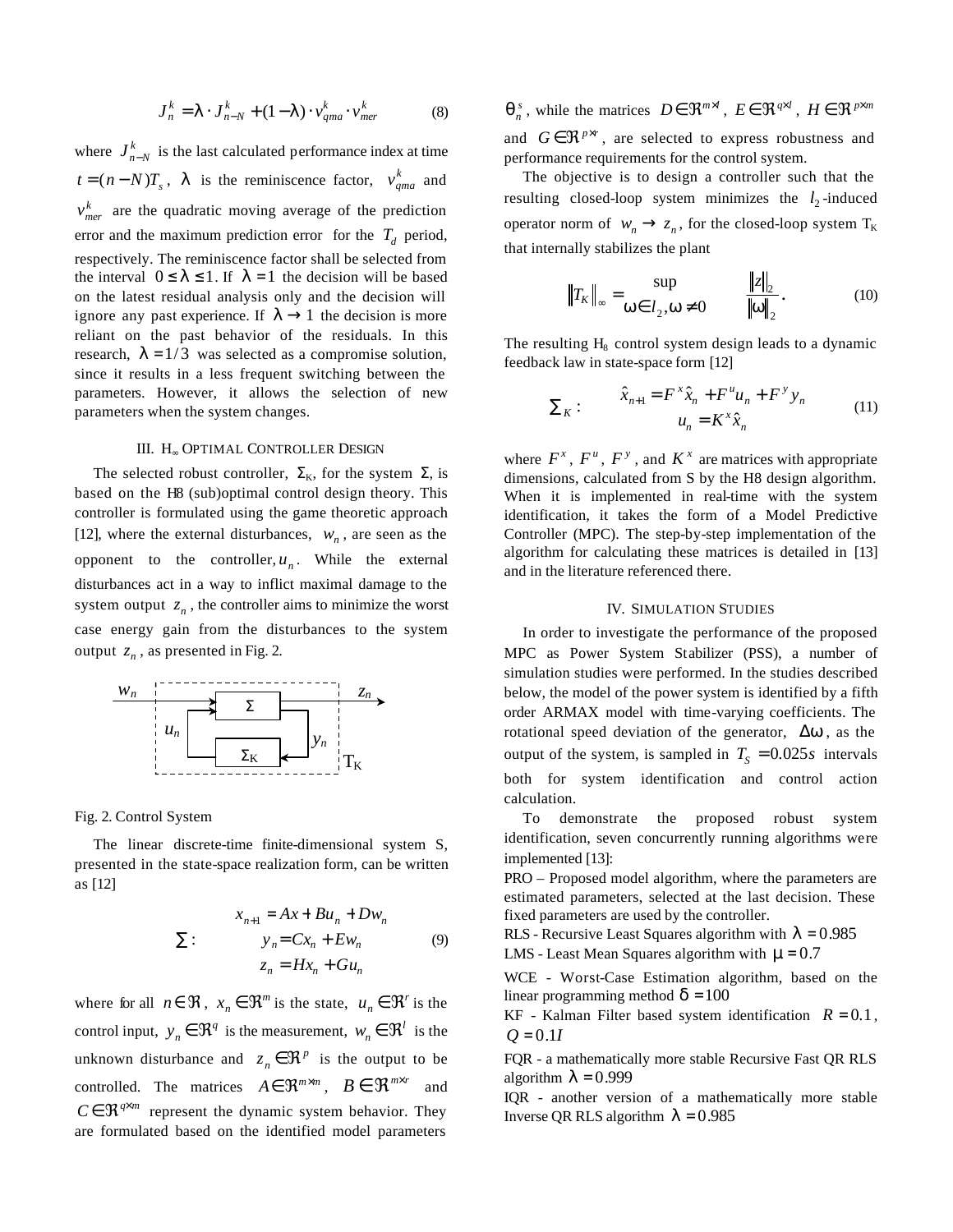$$
J_n^k = \mathbf{I} \cdot J_{n-N}^k + (1 - \mathbf{I}) \cdot v_{qma}^k \cdot v_{mer}^k \tag{8}
$$

where  $J_{n-N}^k$  is the last calculated performance index at time  $t = (n - N)T_s$ , *l* is the reminiscence factor,  $v_{qma}^k$  and  $v_{mer}^k$  are the quadratic moving average of the prediction error and the maximum prediction error for the  $T_d$  period, respectively. The reminiscence factor shall be selected from the interval  $0 \le l \le 1$ . If  $l = 1$  the decision will be based on the latest residual analysis only and the decision will ignore any past experience. If  $I \rightarrow 1$  the decision is more reliant on the past behavior of the residuals. In this research,  $I = 1/3$  was selected as a compromise solution, since it results in a less frequent switching between the parameters. However, it allows the selection of new parameters when the system changes.

## III. H<sup>∞</sup> OPTIMAL CONTROLLER DESIGN

The selected robust controller,  $\Sigma_K$ , for the system  $\Sigma$ , is based on the H8 (sub)optimal control design theory. This controller is formulated using the game theoretic approach [12], where the external disturbances,  $w_n$ , are seen as the opponent to the controller,  $u_n$ . While the external disturbances act in a way to inflict maximal damage to the system output  $z_n$ , the controller aims to minimize the worst case energy gain from the disturbances to the system output  $z_n$ , as presented in Fig. 2.



#### Fig. 2. Control System

The linear discrete-time finite-dimensional system S, presented in the state-space realization form, can be written as [12]

$$
x_{n+1} = Ax + Bu_n + Dw_n
$$
  

$$
\sum : \qquad y_n = Cx_n + Ew_n
$$
  

$$
z_n = Hx_n + Gu_n
$$
  

$$
(9)
$$

where for all  $n \in \mathfrak{R}$ ,  $x_n \in \mathfrak{R}^m$  is the state,  $u_n \in \mathfrak{R}^r$  is the control input,  $y_n \in \mathbb{R}^q$  is the measurement,  $w_n \in \mathbb{R}^l$  is the unknown disturbance and  $z_n \in \mathbb{R}^p$  is the output to be controlled. The matrices  $A \in \mathbb{R}^{m \times m}$ ,  $B \in \mathbb{R}^{m \times r}$  and  $C \in \mathbb{R}^{q \times m}$  represent the dynamic system behavior. They are formulated based on the identified model parameters

 $\mathbf{q}_n^s$ , while the matrices  $D \in \mathbb{R}^{m \times l}$ ,  $E \in \mathbb{R}^{q \times l}$ ,  $H \in \mathbb{R}^{p \times m}$ and  $G \in \mathbb{R}^{p \times r}$ , are selected to express robustness and performance requirements for the control system.

The objective is to design a controller such that the resulting closed-loop system minimizes the  $l_2$ -induced operator norm of  $w_n \to z_n$ , for the closed-loop system T<sub>K</sub> that internally stabilizes the plant

$$
||T_K||_{\infty} = \frac{\sup}{w \in l_2, w \neq 0}
$$
  $\frac{||z||_2}{||w||_2}$ . (10)

The resulting  $H_8$  control system design leads to a dynamic feedback law in state-space form [12]

$$
\sum_{K} : \qquad \hat{x}_{n+1} = F^{x} \hat{x}_{n} + F^{u} u_{n} + F^{y} y_{n}
$$
\n
$$
u_{n} = K^{x} \hat{x}_{n}
$$
\n(11)

where  $F^x$ ,  $F^u$ ,  $F^y$ , and  $K^x$  are matrices with appropriate dimensions, calculated from S by the H8 design algorithm. When it is implemented in real-time with the system identification, it takes the form of a Model Predictive Controller (MPC). The step-by-step implementation of the algorithm for calculating these matrices is detailed in [13] and in the literature referenced there.

# IV. SIMULATION STUDIES

In order to investigate the performance of the proposed MPC as Power System Stabilizer (PSS), a number of simulation studies were performed. In the studies described below, the model of the power system is identified by a fifth order ARMAX model with time-varying coefficients. The rotational speed deviation of the generator,  $\Delta w$ , as the output of the system, is sampled in  $T_s = 0.025s$  intervals both for system identification and control action calculation.

To demonstrate the proposed robust system identification, seven concurrently running algorithms were implemented [13]:

PRO – Proposed model algorithm, where the parameters are estimated parameters, selected at the last decision. These fixed parameters are used by the controller.

RLS - Recursive Least Squares algorithm with  $\mathbf{l} = 0.985$ 

LMS - Least Mean Squares algorithm with  $m = 0.7$ 

WCE - Worst-Case Estimation algorithm, based on the linear programming method  $\boldsymbol{d} = 100$ 

KF - Kalman Filter based system identification  $R = 0.1$ ,  $Q = 0.1I$ 

FQR - a mathematically more stable Recursive Fast QR RLS algorithm  $\mathbf{l} = 0.999$ 

IQR - another version of a mathematically more stable Inverse QR RLS algorithm  $I = 0.985$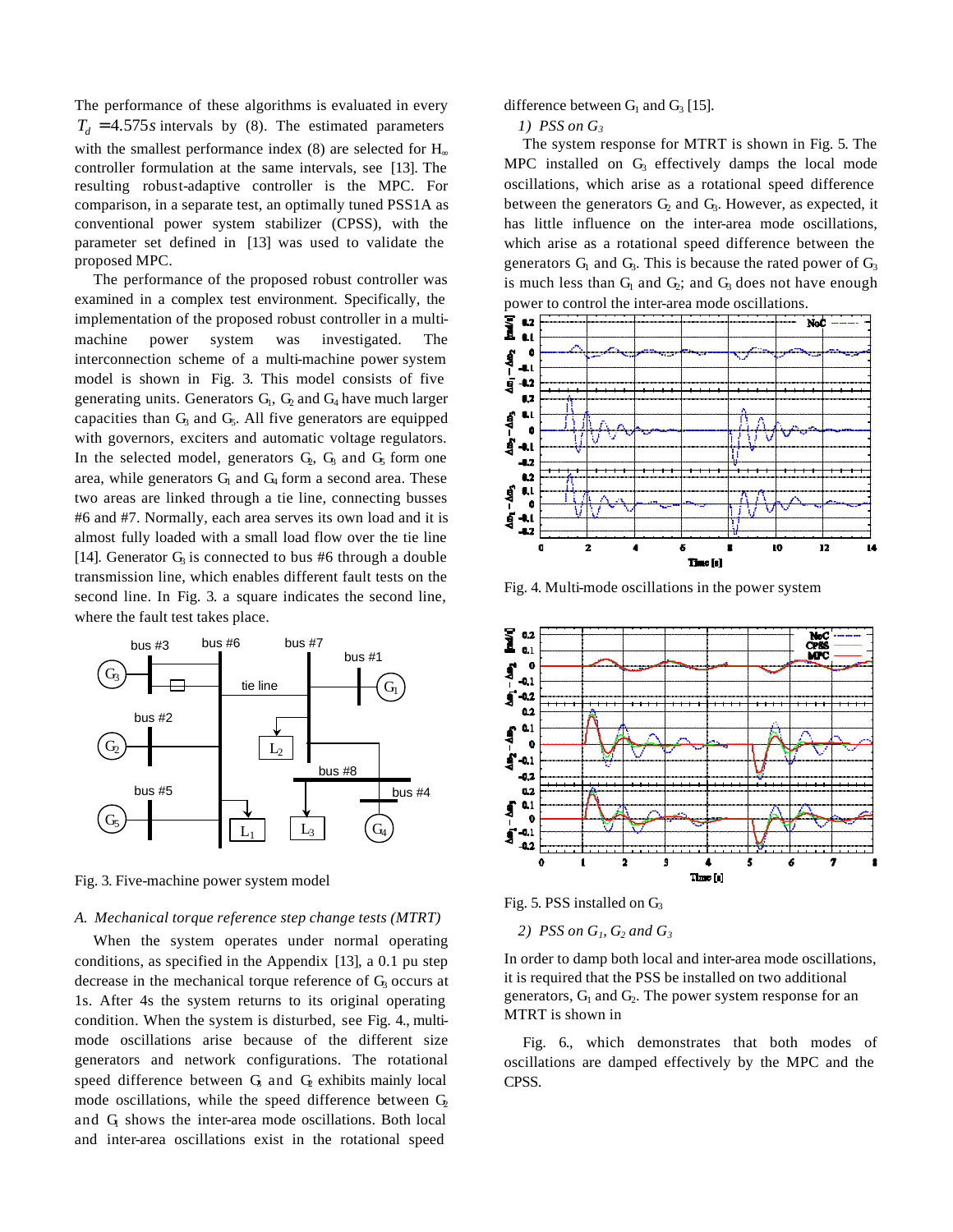The performance of these algorithms is evaluated in every  $T_d = 4.575 s$  intervals by (8). The estimated parameters with the smallest performance index  $(8)$  are selected for  $H_{\infty}$ controller formulation at the same intervals, see [13]. The resulting robust-adaptive controller is the MPC. For comparison, in a separate test, an optimally tuned PSS1A as conventional power system stabilizer (CPSS), with the parameter set defined in [13] was used to validate the proposed MPC.

The performance of the proposed robust controller was examined in a complex test environment. Specifically, the implementation of the proposed robust controller in a multimachine power system was investigated. The interconnection scheme of a multi-machine power system model is shown in Fig. 3. This model consists of five generating units. Generators  $G_1$ ,  $G_2$  and  $G_4$  have much larger capacities than  $G_3$  and  $G_5$ . All five generators are equipped with governors, exciters and automatic voltage regulators. In the selected model, generators  $G_2$ ,  $G_3$  and  $G_5$  form one area, while generators  $G<sub>1</sub>$  and  $G<sub>4</sub>$  form a second area. These two areas are linked through a tie line, connecting busses #6 and #7. Normally, each area serves its own load and it is almost fully loaded with a small load flow over the tie line [14]. Generator  $G_3$  is connected to bus #6 through a double transmission line, which enables different fault tests on the second line. In Fig. 3. a square indicates the second line, where the fault test takes place.



Fig. 3. Five-machine power system model

#### *A. Mechanical torque reference step change tests (MTRT)*

When the system operates under normal operating conditions, as specified in the Appendix [13], a 0.1 pu step decrease in the mechanical torque reference of  $G<sub>3</sub>$  occurs at 1s. After 4s the system returns to its original operating condition. When the system is disturbed, see Fig. 4., multimode oscillations arise because of the different size generators and network configurations. The rotational speed difference between  $G_3$  and  $G_5$  exhibits mainly local mode oscillations, while the speed difference between  $G$ and G shows the inter-area mode oscillations. Both local and inter-area oscillations exist in the rotational speed

difference between  $G_1$  and  $G_3$  [15].

 *1) PSS on G<sup>3</sup>*

The system response for MTRT is shown in Fig. 5. The MPC installed on  $G_3$  effectively damps the local mode oscillations, which arise as a rotational speed difference between the generators  $G_2$  and  $G_3$ . However, as expected, it has little influence on the inter-area mode oscillations, which arise as a rotational speed difference between the generators  $G_1$  and  $G_3$ . This is because the rated power of  $G_3$ is much less than  $G_1$  and  $G_2$ ; and  $G_3$  does not have enough power to control the inter-area mode oscillations.



Fig. 4. Multi-mode oscillations in the power system



Fig. 5. PSS installed on  $G_3$ 

 *2) PSS on G1, G2 and G<sup>3</sup>*

In order to damp both local and inter-area mode oscillations, it is required that the PSS be installed on two additional generators,  $G_1$  and  $G_2$ . The power system response for an MTRT is shown in

Fig. 6., which demonstrates that both modes of oscillations are damped effectively by the MPC and the CPSS.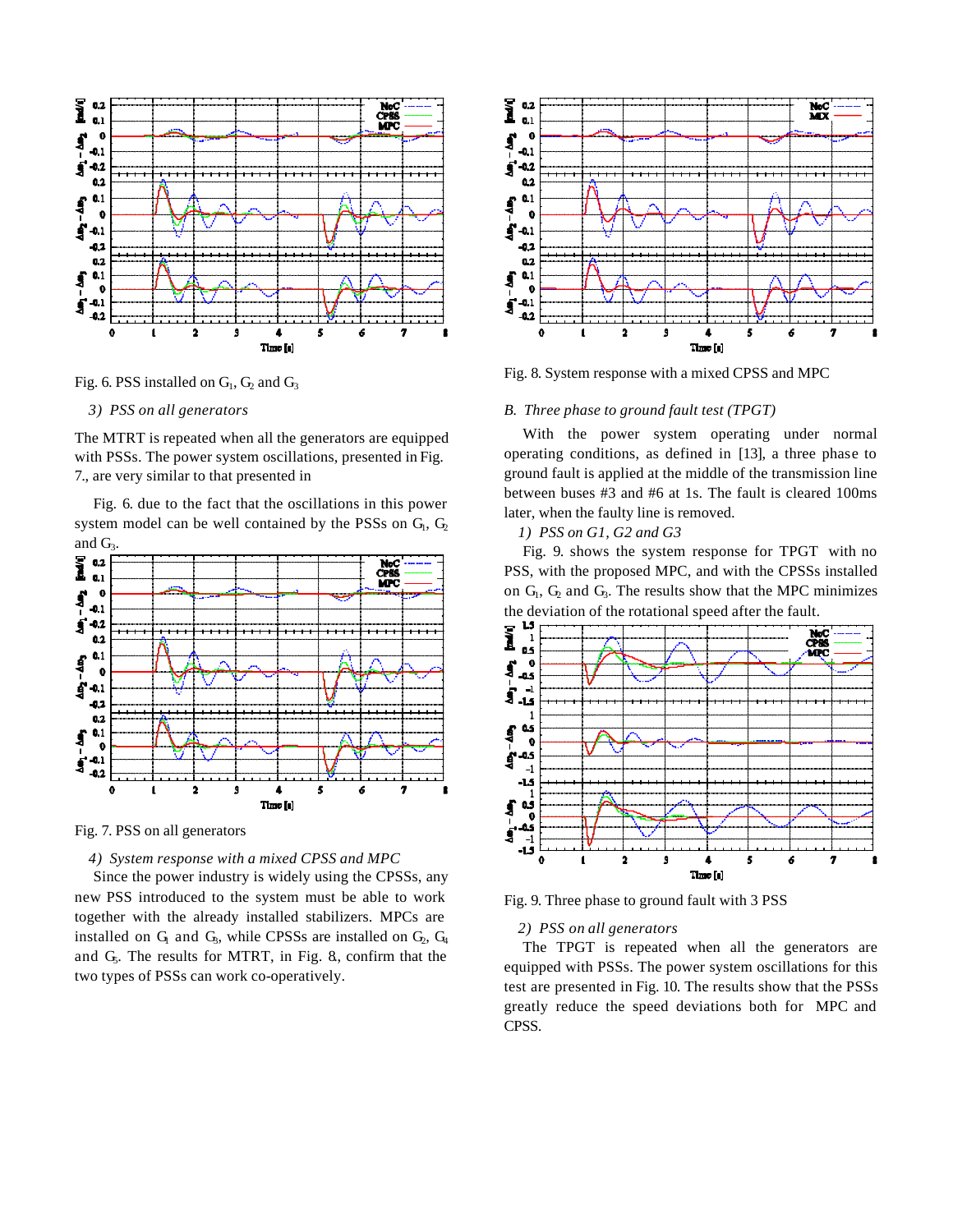

Fig. 6. PSS installed on  $G_1$ ,  $G_2$  and  $G_3$ 

## *3) PSS on all generators*

The MTRT is repeated when all the generators are equipped with PSSs. The power system oscillations, presented in Fig. 7., are very similar to that presented in

Fig. 6. due to the fact that the oscillations in this power system model can be well contained by the PSSs on  $G_1$ ,  $G_2$ and  $G_3$ .



Fig. 7. PSS on all generators

# *4) System response with a mixed CPSS and MPC*

Since the power industry is widely using the CPSSs, any new PSS introduced to the system must be able to work together with the already installed stabilizers. MPCs are installed on  $G_1$  and  $G_2$ , while CPSSs are installed on  $G_2$ ,  $G_4$ and G<sub>5</sub>. The results for MTRT, in Fig. 8, confirm that the two types of PSSs can work co-operatively.



Fig. 8. System response with a mixed CPSS and MPC

# *B. Three phase to ground fault test (TPGT)*

With the power system operating under normal operating conditions, as defined in [13], a three phase to ground fault is applied at the middle of the transmission line between buses #3 and #6 at 1s. The fault is cleared 100ms later, when the faulty line is removed.

 *1) PSS on G1, G2 and G3*

Fig. 9. shows the system response for TPGT with no PSS, with the proposed MPC, and with the CPSSs installed on  $G_1$ ,  $G_2$  and  $G_3$ . The results show that the MPC minimizes the deviation of the rotational speed after the fault.



Fig. 9. Three phase to ground fault with 3 PSS

## *2) PSS on all generators*

The TPGT is repeated when all the generators are equipped with PSSs. The power system oscillations for this test are presented in Fig. 10. The results show that the PSSs greatly reduce the speed deviations both for MPC and CPSS.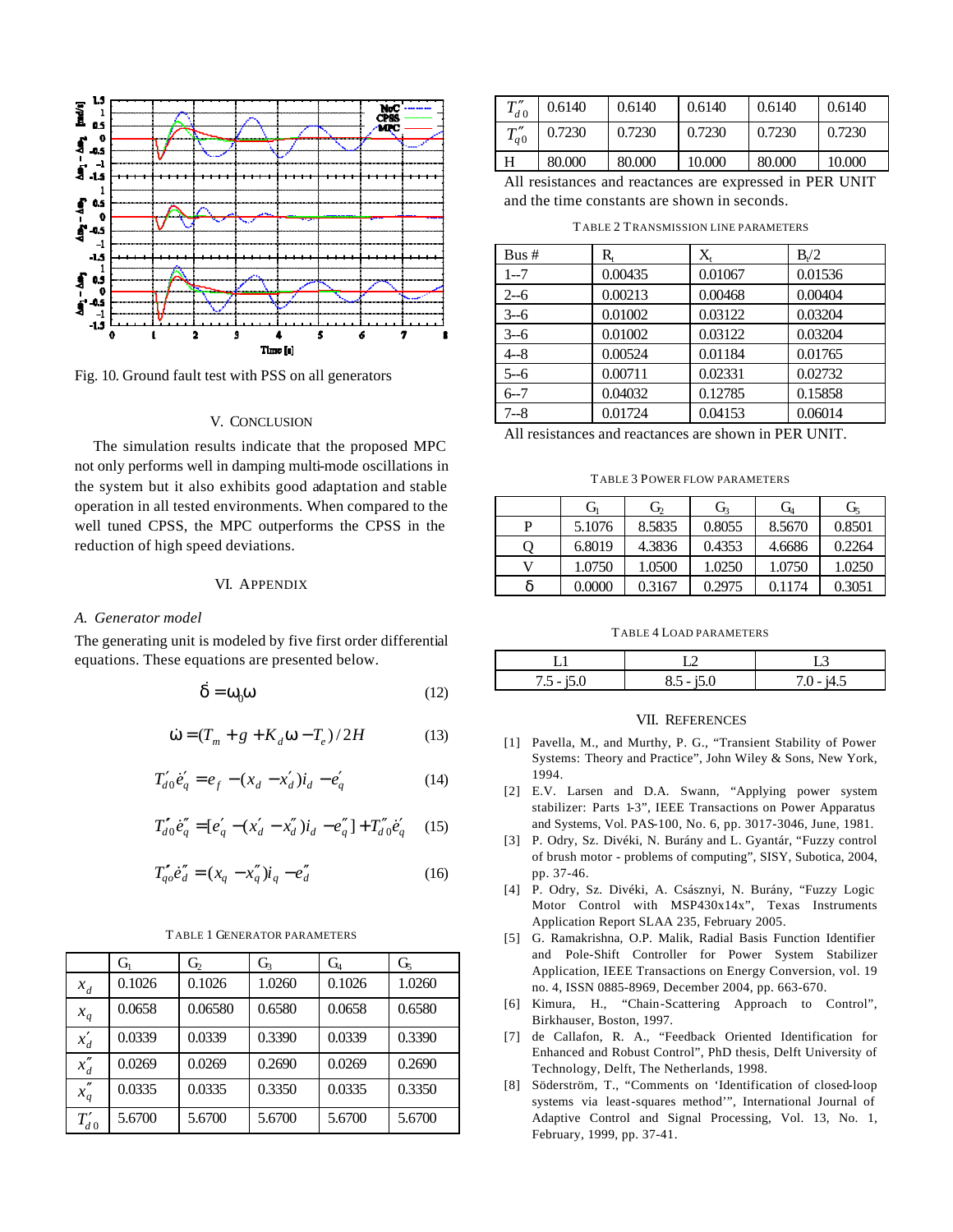

Fig. 10. Ground fault test with PSS on all generators

#### V. CONCLUSION

The simulation results indicate that the proposed MPC not only performs well in damping multi-mode oscillations in the system but it also exhibits good adaptation and stable operation in all tested environments. When compared to the well tuned CPSS, the MPC outperforms the CPSS in the reduction of high speed deviations.

## VI. APPENDIX

## *A. Generator model*

The generating unit is modeled by five first order differential equations. These equations are presented below.

$$
\dot{\boldsymbol{d}} = \boldsymbol{W}_0 \boldsymbol{W} \tag{12}
$$

$$
\dot{\mathbf{W}} = (T_m + g + K_d \mathbf{W} - T_e) / 2H
$$
 (13)

$$
T'_{d0} \dot{e}'_q = e_f - (x_d - x'_d) i_d - e'_q \tag{14}
$$

$$
T'_{d0} \dot{e}''_q = [e'_q - (x'_d - x''_d) i_d - e''_q] + T''_{d0} \dot{e}'_q \qquad (15)
$$

$$
T'_{qo}e''_d = (x_q - x''_q)i_q - e''_d \tag{16}
$$

#### TABLE 1 GENERATOR PARAMETERS

|             | G <sub>1</sub> | G <sub>b</sub> | G      | $\mathrm{G}_4$ | G      |
|-------------|----------------|----------------|--------|----------------|--------|
| $x_d$       | 0.1026         | 0.1026         | 1.0260 | 0.1026         | 1.0260 |
| $x_q$       | 0.0658         | 0.06580        | 0.6580 | 0.0658         | 0.6580 |
| $x_d'$      | 0.0339         | 0.0339         | 0.3390 | 0.0339         | 0.3390 |
| $x''_d$     | 0.0269         | 0.0269         | 0.2690 | 0.0269         | 0.2690 |
| $x''_q$     | 0.0335         | 0.0335         | 0.3350 | 0.0335         | 0.3350 |
| $T_{d\,0}'$ | 5.6700         | 5.6700         | 5.6700 | 5.6700         | 5.6700 |

| $T''_{d0}$ | 0.6140 | 0.6140 | 0.6140 | 0.6140 | 0.6140 |
|------------|--------|--------|--------|--------|--------|
| $T''_{q0}$ | 0.7230 | 0.7230 | 0.7230 | 0.7230 | 0.7230 |
| Н          | 80.000 | 80.000 | 10.000 | 80.000 | 10.000 |
|            |        |        |        |        |        |

All resistances and reactances are expressed in PER UNIT and the time constants are shown in seconds.

TABLE 2 TRANSMISSION LINE PARAMETERS

| Bus #   | $\rm R_{\rm t}$ | $\rm X_{t}$ | B/2     |
|---------|-----------------|-------------|---------|
| $1 - 7$ | 0.00435         | 0.01067     | 0.01536 |
| $2 - 6$ | 0.00213         | 0.00468     | 0.00404 |
| $3 - 6$ | 0.01002         | 0.03122     | 0.03204 |
| $3 - 6$ | 0.01002         | 0.03122     | 0.03204 |
| $4 - 8$ | 0.00524         | 0.01184     | 0.01765 |
| $5 - 6$ | 0.00711         | 0.02331     | 0.02732 |
| $6 - 7$ | 0.04032         | 0.12785     | 0.15858 |
| $7 - 8$ | 0.01724         | 0.04153     | 0.06014 |

All resistances and reactances are shown in PER UNIT.

TABLE 3 POWER FLOW PARAMETERS

|               | G,     | $\mathbb{G}^{\mathbb{Z}}$ | $G_{R}$ | $G_4$  | $G_{5}$ |
|---------------|--------|---------------------------|---------|--------|---------|
| P             | 5.1076 | 8.5835                    | 0.8055  | 8.5670 | 0.8501  |
| $\mathcal{L}$ | 6.8019 | 4.3836                    | 0.4353  | 4.6686 | 0.2264  |
| V             | 1.0750 | 1.0500                    | 1.0250  | 1.0750 | 1.0250  |
|               | 0.0000 | 0.3167                    | 0.2975  | 0.1174 | 0.3051  |

TABLE 4 LOAD PARAMETERS

| 7.5 - j5.0<br>$\cdot$ JJ.U | $8.5 - j5.0$ | 7.0<br>ى.+ى |  |
|----------------------------|--------------|-------------|--|

## VII. REFERENCES

- [1] Pavella, M., and Murthy, P. G., "Transient Stability of Power Systems: Theory and Practice", John Wiley & Sons, New York, 1994.
- [2] E.V. Larsen and D.A. Swann, "Applying power system stabilizer: Parts 1-3", IEEE Transactions on Power Apparatus and Systems, Vol. PAS-100, No. 6, pp. 3017-3046, June, 1981.
- [3] P. Odry, Sz. Divéki, N. Burány and L. Gyantár, "Fuzzy control of brush motor - problems of computing", SISY, Subotica, 2004, pp. 37-46.
- [4] P. Odry, Sz. Divéki, A. Császnyi, N. Burány, "Fuzzy Logic Motor Control with MSP430x14x", Texas Instruments Application Report SLAA 235, February 2005.
- [5] G. Ramakrishna, O.P. Malik, Radial Basis Function Identifier and Pole-Shift Controller for Power System Stabilizer Application, IEEE Transactions on Energy Conversion, vol. 19 no. 4, ISSN 0885-8969, December 2004, pp. 663-670.
- [6] Kimura, H., "Chain-Scattering Approach to Control", Birkhauser, Boston, 1997.
- [7] de Callafon, R. A., "Feedback Oriented Identification for Enhanced and Robust Control", PhD thesis, Delft University of Technology, Delft, The Netherlands, 1998.
- [8] Söderström, T., "Comments on 'Identification of closed-loop systems via least-squares method'", International Journal of Adaptive Control and Signal Processing, Vol. 13, No. 1, February, 1999, pp. 37-41.